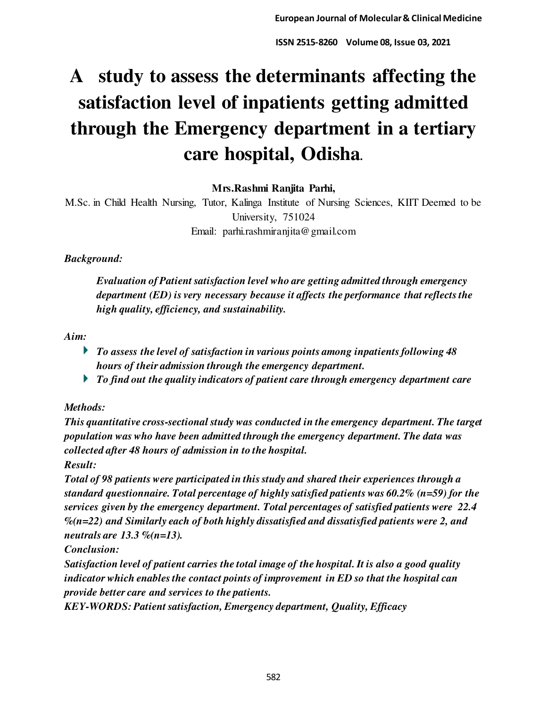# **A study to assess the determinants affecting the satisfaction level of inpatients getting admitted through the Emergency department in a tertiary care hospital, Odisha.**

**Mrs.Rashmi Ranjita Parhi,** 

M.Sc. in Child Health Nursing, Tutor, Kalinga Institute of Nursing Sciences, KIIT Deemed to be University, 751024 Email: parhi.rashmiranjita@gmail.com

# *Background:*

*Evaluation of Patient satisfaction level who are getting admitted through emergency department (ED) is very necessary because it affects the performance that reflects the high quality, efficiency, and sustainability.* 

# *Aim:*

- *To assess the level of satisfaction in various points among inpatients following 48 hours of their admission through the emergency department.*
- *To find out the quality indicators of patient care through emergency department care*

# *Methods:*

*This quantitative cross-sectional study was conducted in the emergency department. The target population was who have been admitted through the emergency department. The data was collected after 48 hours of admission in to the hospital.* 

*Result:* 

*Total of 98 patients were participated in this study and shared their experiences through a standard questionnaire. Total percentage of highly satisfied patients was 60.2% (n=59) for the services given by the emergency department. Total percentages of satisfied patients were 22.4 %(n=22) and Similarly each of both highly dissatisfied and dissatisfied patients were 2, and neutrals are 13.3 %(n=13).* 

*Conclusion:* 

*Satisfaction level of patient carries the total image of the hospital. It is also a good quality indicator which enables the contact points of improvement in ED so that the hospital can provide better care and services to the patients.* 

*KEY-WORDS: Patient satisfaction, Emergency department, Quality, Efficacy*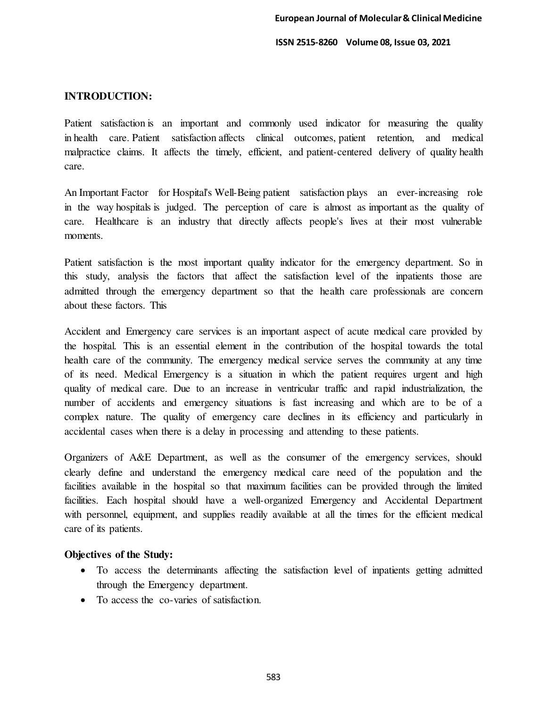# **INTRODUCTION:**

Patient satisfaction is an important and commonly used indicator for measuring the quality in health care. Patient satisfaction affects clinical outcomes, patient retention, and medical malpractice claims. It affects the timely, efficient, and patient-centered delivery of quality health care.

An Important Factor for Hospital's Well-Being patient satisfaction plays an ever-increasing role in the way hospitals is judged. The perception of care is almost as important as the quality of care. Healthcare is an industry that directly affects people's lives at their most vulnerable moments.

Patient satisfaction is the most important quality indicator for the emergency department. So in this study, analysis the factors that affect the satisfaction level of the inpatients those are admitted through the emergency department so that the health care professionals are concern about these factors. This

Accident and Emergency care services is an important aspect of acute medical care provided by the hospital. This is an essential element in the contribution of the hospital towards the total health care of the community. The emergency medical service serves the community at any time of its need. Medical Emergency is a situation in which the patient requires urgent and high quality of medical care. Due to an increase in ventricular traffic and rapid industrialization, the number of accidents and emergency situations is fast increasing and which are to be of a complex nature. The quality of emergency care declines in its efficiency and particularly in accidental cases when there is a delay in processing and attending to these patients.

Organizers of A&E Department, as well as the consumer of the emergency services, should clearly define and understand the emergency medical care need of the population and the facilities available in the hospital so that maximum facilities can be provided through the limited facilities. Each hospital should have a well-organized Emergency and Accidental Department with personnel, equipment, and supplies readily available at all the times for the efficient medical care of its patients.

# **Objectives of the Study:**

- To access the determinants affecting the satisfaction level of inpatients getting admitted through the Emergency department.
- To access the co-varies of satisfaction.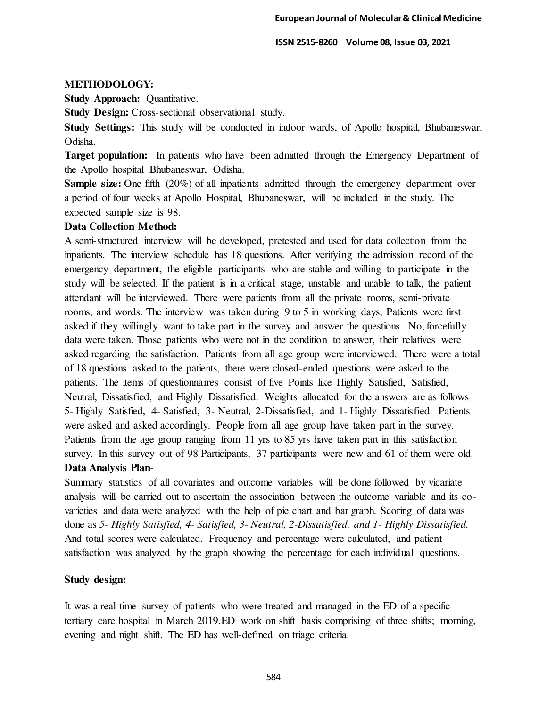# **METHODOLOGY:**

**Study Approach: Quantitative.** 

**Study Design:** Cross-sectional observational study.

**Study Settings:** This study will be conducted in indoor wards, of Apollo hospital, Bhubaneswar, Odisha.

**Target population:** In patients who have been admitted through the Emergency Department of the Apollo hospital Bhubaneswar, Odisha.

**Sample size:** One fifth (20%) of all inpatients admitted through the emergency department over a period of four weeks at Apollo Hospital, Bhubaneswar, will be included in the study. The expected sample size is 98.

## **Data Collection Method:**

A semi-structured interview will be developed, pretested and used for data collection from the inpatients. The interview schedule has 18 questions. After verifying the admission record of the emergency department, the eligible participants who are stable and willing to participate in the study will be selected. If the patient is in a critical stage, unstable and unable to talk, the patient attendant will be interviewed. There were patients from all the private rooms, semi-private rooms, and words. The interview was taken during 9 to 5 in working days, Patients were first asked if they willingly want to take part in the survey and answer the questions. No, forcefully data were taken. Those patients who were not in the condition to answer, their relatives were asked regarding the satisfaction. Patients from all age group were interviewed. There were a total of 18 questions asked to the patients, there were closed-ended questions were asked to the patients. The items of questionnaires consist of five Points like Highly Satisfied, Satisfied, Neutral, Dissatisfied, and Highly Dissatisfied. Weights allocated for the answers are as follows 5- Highly Satisfied, 4- Satisfied, 3- Neutral, 2-Dissatisfied, and 1- Highly Dissatisfied. Patients were asked and asked accordingly. People from all age group have taken part in the survey. Patients from the age group ranging from 11 yrs to 85 yrs have taken part in this satisfaction survey. In this survey out of 98 Participants, 37 participants were new and 61 of them were old. **Data Analysis Plan**-

Summary statistics of all covariates and outcome variables will be done followed by vicariate analysis will be carried out to ascertain the association between the outcome variable and its covarieties and data were analyzed with the help of pie chart and bar graph. Scoring of data was done as *5- Highly Satisfied, 4- Satisfied, 3- Neutral, 2-Dissatisfied, and 1- Highly Dissatisfied.*  And total scores were calculated. Frequency and percentage were calculated, and patient satisfaction was analyzed by the graph showing the percentage for each individual questions.

# **Study design:**

It was a real-time survey of patients who were treated and managed in the ED of a specific tertiary care hospital in March 2019.ED work on shift basis comprising of three shifts; morning, evening and night shift. The ED has well-defined on triage criteria.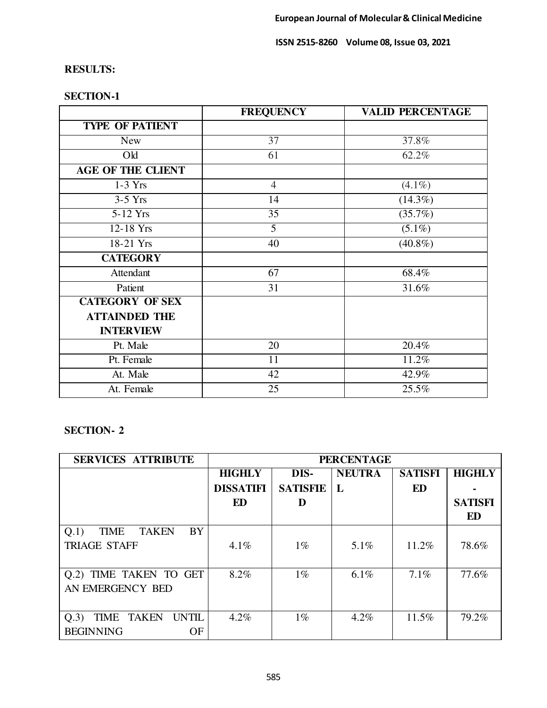# **RESULTS:**

|                          | <b>FREQUENCY</b> | <b>VALID PERCENTAGE</b> |
|--------------------------|------------------|-------------------------|
| <b>TYPE OF PATIENT</b>   |                  |                         |
| <b>New</b>               | $\overline{37}$  | 37.8%                   |
| Old                      | 61               | 62.2%                   |
| <b>AGE OF THE CLIENT</b> |                  |                         |
| $1-3$ Yrs                | $\overline{4}$   | $(4.1\%)$               |
| $3-5$ Yrs                | 14               | $(14.3\%)$              |
| 5-12 Yrs                 | $\overline{35}$  | (35.7%)                 |
| 12-18 Yrs                | 5                | $(5.1\%)$               |
| 18-21 Yrs                | 40               | $(40.8\%)$              |
| <b>CATEGORY</b>          |                  |                         |
| Attendant                | 67               | 68.4%                   |
| Patient                  | 31               | 31.6%                   |
| <b>CATEGORY OF SEX</b>   |                  |                         |
| <b>ATTAINDED THE</b>     |                  |                         |
| <b>INTERVIEW</b>         |                  |                         |
| Pt. Male                 | 20               | 20.4%                   |
| Pt. Female               | 11               | 11.2%                   |
| At. Male                 | 42               | 42.9%                   |
| At. Female               | 25               | 25.5%                   |

# **SECTION-1**

# **SECTION- 2**

| <b>SERVICES ATTRIBUTE</b>                           | <b>PERCENTAGE</b> |                 |               |                |                |
|-----------------------------------------------------|-------------------|-----------------|---------------|----------------|----------------|
|                                                     | <b>HIGHLY</b>     | DIS-            | <b>NEUTRA</b> | <b>SATISFI</b> | <b>HIGHLY</b>  |
|                                                     | <b>DISSATIFI</b>  | <b>SATISFIE</b> | L             | <b>ED</b>      |                |
|                                                     | ED                | D               |               |                | <b>SATISFI</b> |
|                                                     |                   |                 |               |                | ED             |
| <b>BY</b><br><b>TAKEN</b><br><b>TIME</b><br>Q.1)    |                   |                 |               |                |                |
| <b>TRIAGE STAFF</b>                                 | $4.1\%$           | $1\%$           | $5.1\%$       | 11.2%          | 78.6%          |
|                                                     |                   |                 |               |                |                |
| Q.2) TIME TAKEN TO GET                              | 8.2%              | $1\%$           | 6.1%          | 7.1%           | 77.6%          |
| AN EMERGENCY BED                                    |                   |                 |               |                |                |
|                                                     |                   |                 |               |                |                |
| <b>TAKEN</b><br><b>UNTIL</b><br><b>TIME</b><br>Q.3) | 4.2%              | $1\%$           | 4.2%          | 11.5%          | 79.2%          |
| <b>BEGINNING</b><br>OF                              |                   |                 |               |                |                |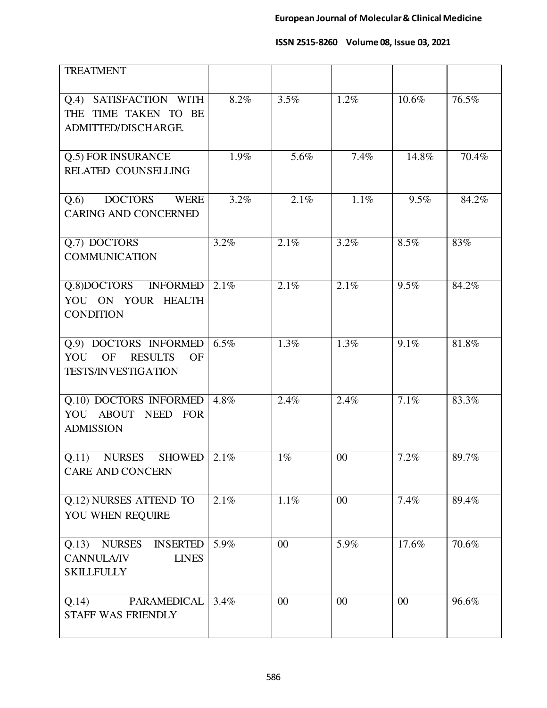| <b>TREATMENT</b>                                                                                    |         |         |         |       |       |
|-----------------------------------------------------------------------------------------------------|---------|---------|---------|-------|-------|
| Q.4) SATISFACTION WITH<br>THE TIME TAKEN TO<br>BE<br>ADMITTED/DISCHARGE.                            | 8.2%    | 3.5%    | 1.2%    | 10.6% | 76.5% |
| Q.5) FOR INSURANCE<br><b>RELATED COUNSELLING</b>                                                    | 1.9%    | 5.6%    | 7.4%    | 14.8% | 70.4% |
| DOCTORS WERE<br>Q.6<br><b>CARING AND CONCERNED</b>                                                  | 3.2%    | 2.1%    | 1.1%    | 9.5%  | 84.2% |
| Q.7) DOCTORS<br><b>COMMUNICATION</b>                                                                | 3.2%    | 2.1%    | 3.2%    | 8.5%  | 83%   |
| Q.8)DOCTORS INFORMED<br>YOU ON YOUR HEALTH<br><b>CONDITION</b>                                      | 2.1%    | 2.1%    | 2.1%    | 9.5%  | 84.2% |
| Q.9) DOCTORS INFORMED<br>OF<br><b>RESULTS</b><br>YOU<br>OF<br><b>TESTS/INVESTIGATION</b>            | 6.5%    | 1.3%    | $1.3\%$ | 9.1%  | 81.8% |
| Q.10) DOCTORS INFORMED<br>YOU ABOUT NEED FOR<br><b>ADMISSION</b>                                    | 4.8%    | 2.4%    | 2.4%    | 7.1%  | 83.3% |
| Q.11)<br><b>NURSES</b><br><b>SHOWED</b><br><b>CARE AND CONCERN</b>                                  | $2.1\%$ | $1\%$   | 00      | 7.2%  | 89.7% |
| Q.12) NURSES ATTEND TO<br>YOU WHEN REQUIRE                                                          | 2.1%    | $1.1\%$ | 00      | 7.4%  | 89.4% |
| <b>NURSES</b><br><b>INSERTED</b><br>Q.13)<br><b>CANNULA/IV</b><br><b>LINES</b><br><b>SKILLFULLY</b> | 5.9%    | 00      | 5.9%    | 17.6% | 70.6% |
| <b>PARAMEDICAL</b><br>Q.14)<br><b>STAFF WAS FRIENDLY</b>                                            | 3.4%    | 00      | $00\,$  | 00    | 96.6% |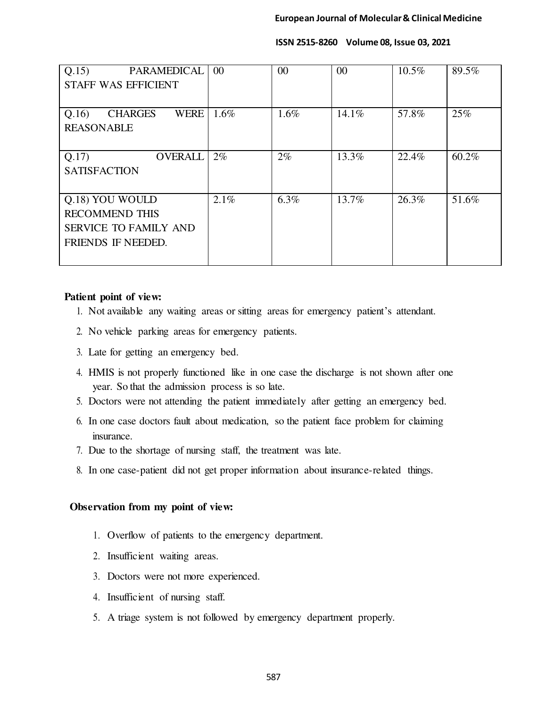| Q.15)<br>PARAMEDICAL<br><b>STAFF WAS EFFICIENT</b>                                             | 00    | 00      | 00       | $10.5\%$ | 89.5% |
|------------------------------------------------------------------------------------------------|-------|---------|----------|----------|-------|
| Q.16<br><b>CHARGES</b><br><b>WERE</b><br><b>REASONABLE</b>                                     | 1.6%  | $1.6\%$ | $14.1\%$ | 57.8%    | 25%   |
| Q.17)<br><b>OVERALL</b><br><b>SATISFACTION</b>                                                 | $2\%$ | $2\%$   | 13.3%    | 22.4%    | 60.2% |
| Q.18) YOU WOULD<br><b>RECOMMEND THIS</b><br><b>SERVICE TO FAMILY AND</b><br>FRIENDS IF NEEDED. | 2.1%  | $6.3\%$ | 13.7%    | 26.3%    | 51.6% |

## **Patient point of view:**

- 1. Not available any waiting areas or sitting areas for emergency patient's attendant.
- 2. No vehicle parking areas for emergency patients.
- 3. Late for getting an emergency bed.
- 4. HMIS is not properly functioned like in one case the discharge is not shown after one year. So that the admission process is so late.
- 5. Doctors were not attending the patient immediately after getting an emergency bed.
- 6. In one case doctors fault about medication, so the patient face problem for claiming insurance.
- 7. Due to the shortage of nursing staff, the treatment was late.
- 8. In one case-patient did not get proper information about insurance-related things.

## **Observation from my point of view:**

- 1. Overflow of patients to the emergency department.
- 2. Insufficient waiting areas.
- 3. Doctors were not more experienced.
- 4. Insufficient of nursing staff.
- 5. A triage system is not followed by emergency department properly.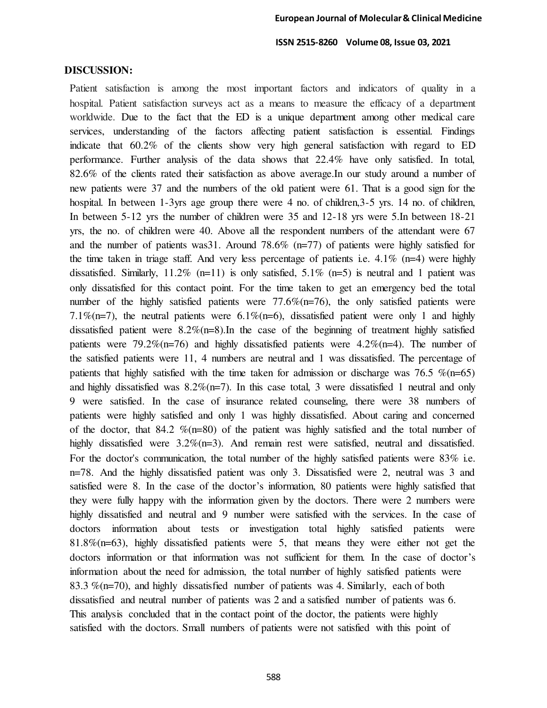### **DISCUSSION:**

Patient satisfaction is among the most important factors and indicators of quality in a hospital. Patient satisfaction surveys act as a means to measure the efficacy of a department worldwide. Due to the fact that the ED is a unique department among other medical care services, understanding of the factors affecting patient satisfaction is essential. Findings indicate that 60.2% of the clients show very high general satisfaction with regard to ED performance. Further analysis of the data shows that 22.4% have only satisfied. In total, 82.6% of the clients rated their satisfaction as above average.In our study around a number of new patients were 37 and the numbers of the old patient were 61. That is a good sign for the hospital. In between 1-3yrs age group there were 4 no. of children, 3-5 yrs. 14 no. of children, In between 5-12 yrs the number of children were 35 and 12-18 yrs were 5.In between 18-21 yrs, the no. of children were 40. Above all the respondent numbers of the attendant were 67 and the number of patients was 31. Around 78.6%  $(n=77)$  of patients were highly satisfied for the time taken in triage staff. And very less percentage of patients i.e.  $4.1\%$  (n=4) were highly dissatisfied. Similarly,  $11.2\%$  (n=11) is only satisfied,  $5.1\%$  (n=5) is neutral and 1 patient was only dissatisfied for this contact point. For the time taken to get an emergency bed the total number of the highly satisfied patients were 77.6%(n=76), the only satisfied patients were 7.1%(n=7), the neutral patients were 6.1%(n=6), dissatisfied patient were only 1 and highly dissatisfied patient were  $8.2\%$  (n=8). In the case of the beginning of treatment highly satisfied patients were 79.2%(n=76) and highly dissatisfied patients were 4.2%(n=4). The number of the satisfied patients were 11, 4 numbers are neutral and 1 was dissatisfied. The percentage of patients that highly satisfied with the time taken for admission or discharge was 76.5  $\%$ (n=65) and highly dissatisfied was  $8.2\%$  (n=7). In this case total, 3 were dissatisfied 1 neutral and only 9 were satisfied. In the case of insurance related counseling, there were 38 numbers of patients were highly satisfied and only 1 was highly dissatisfied. About caring and concerned of the doctor, that 84.2  $\%$ (n=80) of the patient was highly satisfied and the total number of highly dissatisfied were  $3.2\%$  (n=3). And remain rest were satisfied, neutral and dissatisfied. For the doctor's communication, the total number of the highly satisfied patients were 83% i.e. n=78. And the highly dissatisfied patient was only 3. Dissatisfied were 2, neutral was 3 and satisfied were 8. In the case of the doctor's information, 80 patients were highly satisfied that they were fully happy with the information given by the doctors. There were 2 numbers were highly dissatisfied and neutral and 9 number were satisfied with the services. In the case of doctors information about tests or investigation total highly satisfied patients were 81.8%(n=63), highly dissatisfied patients were 5, that means they were either not get the doctors information or that information was not sufficient for them. In the case of doctor's information about the need for admission, the total number of highly satisfied patients were 83.3  $\%$ (n=70), and highly dissatisfied number of patients was 4. Similarly, each of both dissatisfied and neutral number of patients was 2 and a satisfied number of patients was 6. This analysis concluded that in the contact point of the doctor, the patients were highly satisfied with the doctors. Small numbers of patients were not satisfied with this point of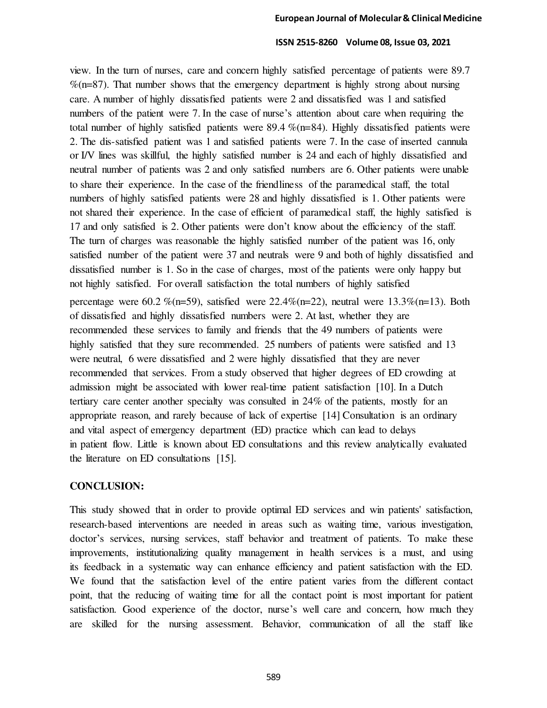view. In the turn of nurses, care and concern highly satisfied percentage of patients were 89.7  $\%$ (n=87). That number shows that the emergency department is highly strong about nursing care. A number of highly dissatisfied patients were 2 and dissatisfied was 1 and satisfied numbers of the patient were 7. In the case of nurse's attention about care when requiring the total number of highly satisfied patients were 89.4 %(n=84). Highly dissatisfied patients were 2. The dis-satisfied patient was 1 and satisfied patients were 7. In the case of inserted cannula or I/V lines was skillful, the highly satisfied number is 24 and each of highly dissatisfied and neutral number of patients was 2 and only satisfied numbers are 6. Other patients were unable to share their experience. In the case of the friendliness of the paramedical staff, the total numbers of highly satisfied patients were 28 and highly dissatisfied is 1. Other patients were not shared their experience. In the case of efficient of paramedical staff, the highly satisfied is 17 and only satisfied is 2. Other patients were don't know about the efficiency of the staff. The turn of charges was reasonable the highly satisfied number of the patient was 16, only satisfied number of the patient were 37 and neutrals were 9 and both of highly dissatisfied and dissatisfied number is 1. So in the case of charges, most of the patients were only happy but not highly satisfied. For overall satisfaction the total numbers of highly satisfied

percentage were 60.2 %(n=59), satisfied were 22.4%(n=22), neutral were 13.3%(n=13). Both of dissatisfied and highly dissatisfied numbers were 2. At last, whether they are recommended these services to family and friends that the 49 numbers of patients were highly satisfied that they sure recommended. 25 numbers of patients were satisfied and 13 were neutral, 6 were dissatisfied and 2 were highly dissatisfied that they are never recommended that services. From a study observed that higher degrees of ED crowding at admission might be associated with lower real-time patient satisfaction [10]. In a Dutch tertiary care center another specialty was consulted in 24% of the patients, mostly for an appropriate reason, and rarely because of lack of expertise [14] Consultation is an ordinary and vital aspect of emergency department (ED) practice which can lead to delays in patient flow. Little is known about ED consultations and this review analytically evaluated the literature on ED consultations [15].

## **CONCLUSION:**

This study showed that in order to provide optimal ED services and win patients' satisfaction, research-based interventions are needed in areas such as waiting time, various investigation, doctor's services, nursing services, staff behavior and treatment of patients. To make these improvements, institutionalizing quality management in health services is a must, and using its feedback in a systematic way can enhance efficiency and patient satisfaction with the ED. We found that the satisfaction level of the entire patient varies from the different contact point, that the reducing of waiting time for all the contact point is most important for patient satisfaction. Good experience of the doctor, nurse's well care and concern, how much they are skilled for the nursing assessment. Behavior, communication of all the staff like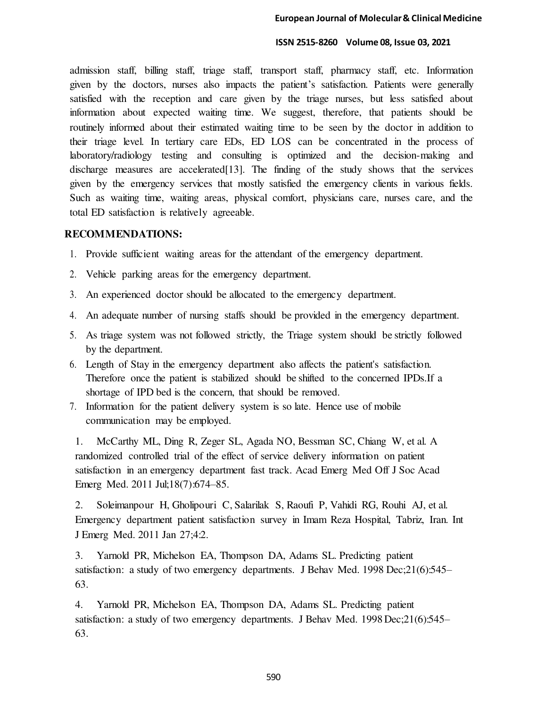admission staff, billing staff, triage staff, transport staff, pharmacy staff, etc. Information given by the doctors, nurses also impacts the patient's satisfaction. Patients were generally satisfied with the reception and care given by the triage nurses, but less satisfied about information about expected waiting time. We suggest, therefore, that patients should be routinely informed about their estimated waiting time to be seen by the doctor in addition to their triage level. In tertiary care EDs, ED LOS can be concentrated in the process of laboratory/radiology testing and consulting is optimized and the decision-making and discharge measures are accelerated[13]. The finding of the study shows that the services given by the emergency services that mostly satisfied the emergency clients in various fields. Such as waiting time, waiting areas, physical comfort, physicians care, nurses care, and the total ED satisfaction is relatively agreeable.

## **RECOMMENDATIONS:**

- 1. Provide sufficient waiting areas for the attendant of the emergency department.
- 2. Vehicle parking areas for the emergency department.
- 3. An experienced doctor should be allocated to the emergency department.
- 4. An adequate number of nursing staffs should be provided in the emergency department.
- 5. As triage system was not followed strictly, the Triage system should be strictly followed by the department.
- 6. Length of Stay in the emergency department also affects the patient's satisfaction. Therefore once the patient is stabilized should be shifted to the concerned IPDs.If a shortage of IPD bed is the concern, that should be removed.
- 7. Information for the patient delivery system is so late. Hence use of mobile communication may be employed.

1. McCarthy ML, Ding R, Zeger SL, Agada NO, Bessman SC, Chiang W, et al. A randomized controlled trial of the effect of service delivery information on patient satisfaction in an emergency department fast track. Acad Emerg Med Off J Soc Acad Emerg Med. 2011 Jul;18(7):674–85.

2. Soleimanpour H, Gholipouri C, Salarilak S, Raoufi P, Vahidi RG, Rouhi AJ, et al. Emergency department patient satisfaction survey in Imam Reza Hospital, Tabriz, Iran. Int J Emerg Med. 2011 Jan 27;4:2.

3. Yarnold PR, Michelson EA, Thompson DA, Adams SL. Predicting patient satisfaction: a study of two emergency departments. J Behav Med. 1998 Dec;21(6):545– 63.

4. Yarnold PR, Michelson EA, Thompson DA, Adams SL. Predicting patient satisfaction: a study of two emergency departments. J Behav Med. 1998 Dec;21(6):545– 63.